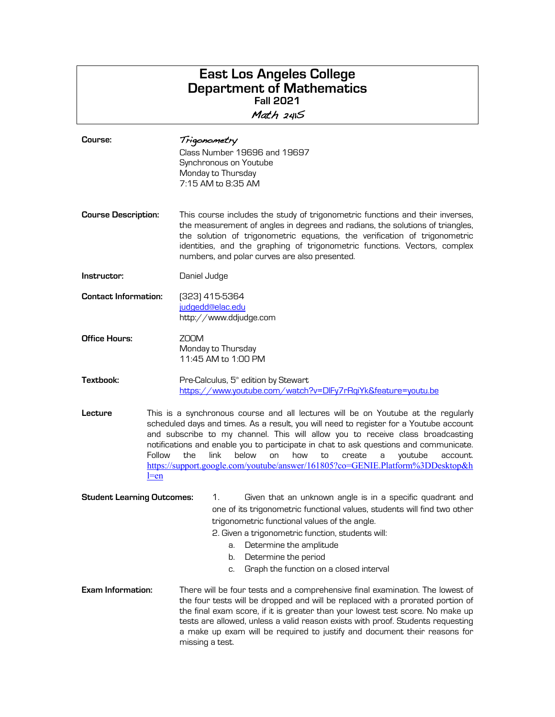# **East Los Angeles College Department of Mathematics Fall 2021** Math 241S

| Course:                           | Trigonometry<br>Class Number 19696 and 19697<br>Synchronous on Youtube<br>Monday to Thursday<br>7:15 AM to 8:35 AM                                                                                                                                                                                                                                                                                                                                                                                                        |  |  |
|-----------------------------------|---------------------------------------------------------------------------------------------------------------------------------------------------------------------------------------------------------------------------------------------------------------------------------------------------------------------------------------------------------------------------------------------------------------------------------------------------------------------------------------------------------------------------|--|--|
| <b>Course Description:</b>        | This course includes the study of trigonometric functions and their inverses,<br>the measurement of angles in degrees and radians, the solutions of triangles,<br>the solution of trigonometric equations, the verification of trigonometric<br>identities, and the graphing of trigonometric functions. Vectors, complex<br>numbers, and polar curves are also presented.                                                                                                                                                |  |  |
| Instructor:                       | Daniel Judge                                                                                                                                                                                                                                                                                                                                                                                                                                                                                                              |  |  |
| <b>Contact Information:</b>       | (323) 415-5364<br>judgedd@elac.edu<br>http://www.ddjudge.com                                                                                                                                                                                                                                                                                                                                                                                                                                                              |  |  |
| <b>Office Hours:</b>              | ZOOM<br>Monday to Thursday<br>11:45 AM to 1:00 PM                                                                                                                                                                                                                                                                                                                                                                                                                                                                         |  |  |
| Textbook:                         | Pre-Calculus, 5 <sup>th</sup> edition by Stewart<br>https://www.youtube.com/watch?v=DIFy7rRqiYk&feature=youtu.be                                                                                                                                                                                                                                                                                                                                                                                                          |  |  |
| Lecture<br>Follow<br>$l = en$     | This is a synchronous course and all lectures will be on Youtube at the regularly<br>scheduled days and times. As a result, you will need to register for a Youtube account<br>and subscribe to my channel. This will allow you to receive class broadcasting<br>notifications and enable you to participate in chat to ask questions and communicate.<br>the<br>link<br>below<br>on<br>how<br>to<br>create<br>youtube<br>account.<br>a<br>https://support.google.com/youtube/answer/161805?co=GENIE.Platform%3DDesktop&h |  |  |
| <b>Student Learning Outcomes:</b> | Given that an unknown angle is in a specific quadrant and<br>1.<br>one of its trigonometric functional values, students will find two other<br>trigonometric functional values of the angle.<br>2. Given a trigonometric function, students will:<br>Determine the amplitude<br>a.<br>Determine the period<br>b.<br>Graph the function on a closed interval<br>C.                                                                                                                                                         |  |  |
| <b>Exam Information:</b>          | There will be four tests and a comprehensive final examination. The lowest of<br>the four tests will be dropped and will be replaced with a prorated portion of<br>the final exam score, if it is greater than your lowest test score. No make up<br>tests are allowed, unless a valid reason exists with proof. Students requesting<br>a make up exam will be required to justify and document their reasons for<br>missing a test.                                                                                      |  |  |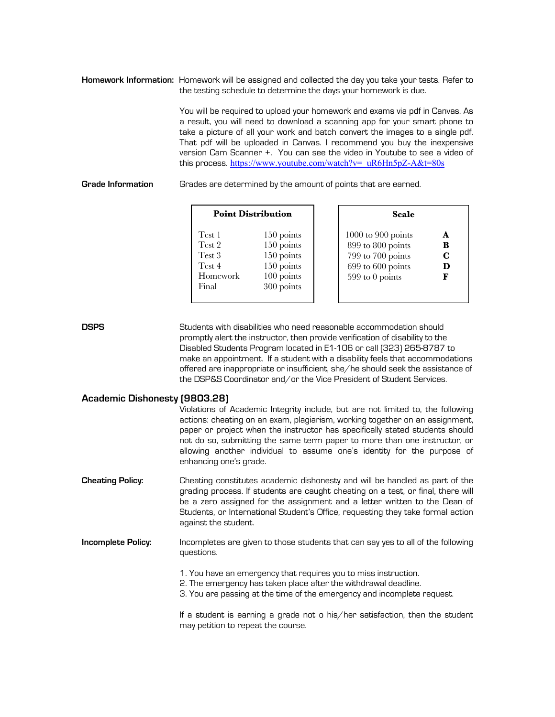**Homework Information:** Homework will be assigned and collected the day you take your tests. Refer to the testing schedule to determine the days your homework is due.

> You will be required to upload your homework and exams via pdf in Canvas. As a result, you will need to download a scanning app for your smart phone to take a picture of all your work and batch convert the images to a single pdf. That pdf will be uploaded in Canvas. I recommend you buy the inexpensive version Cam Scanner +. You can see the video in Youtube to see a video of this process. https://www.youtube.com/watch?v=\_uR6Hn5pZ-A&t=80s

# **Grade Information** Grades are determined by the amount of points that are earned.

| <b>Point Distribution</b>                                 |                                                                                  | Scale                                                                                                                         |  |
|-----------------------------------------------------------|----------------------------------------------------------------------------------|-------------------------------------------------------------------------------------------------------------------------------|--|
| Test 1<br>Test 2<br>Test 3<br>Test 4<br>Homework<br>Final | 150 points<br>150 points<br>150 points<br>150 points<br>100 points<br>300 points | 1000 to 900 points<br>A<br>899 to 800 points<br>в<br>799 to 700 points<br>C<br>699 to 600 points<br>D<br>599 to 0 points<br>F |  |

**DSPS** Students with disabilities who need reasonable accommodation should promptly alert the instructor, then provide verification of disability to the Disabled Students Program located in E1-106 or call (323) 265-8787 to make an appointment. If a student with a disability feels that accommodations offered are inappropriate or insufficient, she/he should seek the assistance of the DSP&S Coordinator and/or the Vice President of Student Services.

# **Academic Dishonesty (9803.28)**

| ACQUEINIC DISNUTESCY (3003.EO) |                                                                                                                                                                                                                                                                                                                                                                                                                                   |
|--------------------------------|-----------------------------------------------------------------------------------------------------------------------------------------------------------------------------------------------------------------------------------------------------------------------------------------------------------------------------------------------------------------------------------------------------------------------------------|
|                                | Violations of Academic Integrity include, but are not limited to, the following<br>actions: cheating on an exam, plagiarism, working together on an assignment,<br>paper or project when the instructor has specifically stated students should<br>not do so, submitting the same term paper to more than one instructor, or<br>allowing another individual to assume one's identity for the purpose of<br>enhancing one's grade. |
| <b>Cheating Policy:</b>        | Cheating constitutes academic dishonesty and will be handled as part of the<br>grading process. If students are caught cheating on a test, or final, there will<br>be a zero assigned for the assignment and a letter written to the Dean of<br>Students, or International Student's Office, requesting they take formal action<br>against the student.                                                                           |
| Incomplete Policy:             | Incompletes are given to those students that can say yes to all of the following<br>questions.<br>1. You have an emergency that requires you to miss instruction.<br>2. The emergency has taken place after the withdrawal deadline.<br>3. You are passing at the time of the emergency and incomplete request.                                                                                                                   |
|                                | If a student is earning a grade not o his/her satisfaction, then the student<br>may petition to repeat the course.                                                                                                                                                                                                                                                                                                                |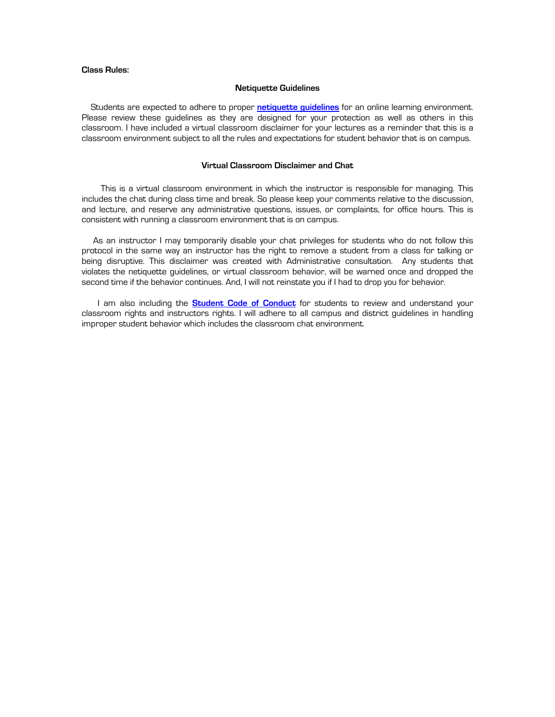# **Class Rules:**

#### **Netiquette Guidelines**

Students are expected to adhere to proper **netiquette guidelines** for an online learning environment. Please review these guidelines as they are designed for your protection as well as others in this classroom. I have included a virtual classroom disclaimer for your lectures as a reminder that this is a classroom environment subject to all the rules and expectations for student behavior that is on campus.

### **Virtual Classroom Disclaimer and Chat**

 This is a virtual classroom environment in which the instructor is responsible for managing. This includes the chat during class time and break. So please keep your comments relative to the discussion, and lecture, and reserve any administrative questions, issues, or complaints, for office hours. This is consistent with running a classroom environment that is on campus.

 As an instructor I may temporarily disable your chat privileges for students who do not follow this protocol in the same way an instructor has the right to remove a student from a class for talking or being disruptive. This disclaimer was created with Administrative consultation. Any students that violates the netiquette guidelines, or virtual classroom behavior, will be warned once and dropped the second time if the behavior continues. And, I will not reinstate you if I had to drop you for behavior.

 I am also including the **Student Code of Conduct** for students to review and understand your classroom rights and instructors rights. I will adhere to all campus and district guidelines in handling improper student behavior which includes the classroom chat environment.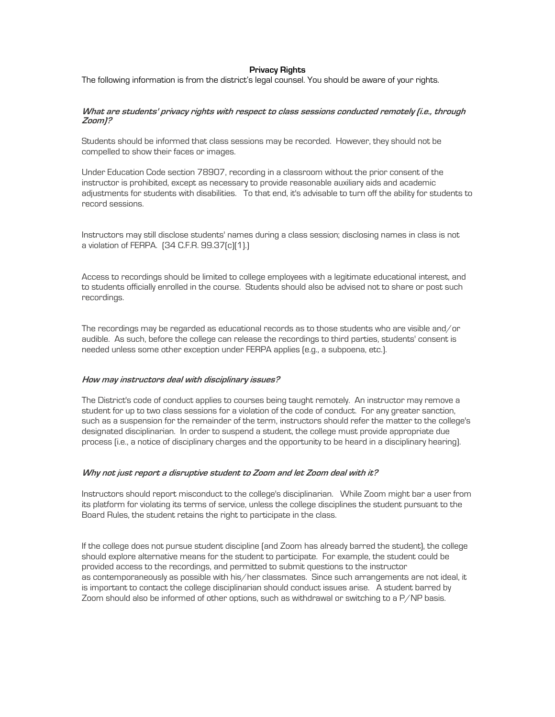## **Privacy Rights**

The following information is from the district's legal counsel. You should be aware of your rights.

#### **What are students' privacy rights with respect to class sessions conducted remotely (i.e., through Zoom)?**

Students should be informed that class sessions may be recorded. However, they should not be compelled to show their faces or images.

Under Education Code section 78907, recording in a classroom without the prior consent of the instructor is prohibited, except as necessary to provide reasonable auxiliary aids and academic adjustments for students with disabilities. To that end, it's advisable to turn off the ability for students to record sessions.

Instructors may still disclose students' names during a class session; disclosing names in class is not a violation of FERPA. (34 C.F.R. 99.37(c)(1).)

Access to recordings should be limited to college employees with a legitimate educational interest, and to students officially enrolled in the course. Students should also be advised not to share or post such recordings.

The recordings may be regarded as educational records as to those students who are visible and/or audible. As such, before the college can release the recordings to third parties, students' consent is needed unless some other exception under FERPA applies (e.g., a subpoena, etc.).

#### **How may instructors deal with disciplinary issues?**

The District's code of conduct applies to courses being taught remotely. An instructor may remove a student for up to two class sessions for a violation of the code of conduct. For any greater sanction, such as a suspension for the remainder of the term, instructors should refer the matter to the college's designated disciplinarian. In order to suspend a student, the college must provide appropriate due process (i.e., a notice of disciplinary charges and the opportunity to be heard in a disciplinary hearing).

### **Why not just report a disruptive student to Zoom and let Zoom deal with it?**

Instructors should report misconduct to the college's disciplinarian. While Zoom might bar a user from its platform for violating its terms of service, unless the college disciplines the student pursuant to the Board Rules, the student retains the right to participate in the class.

If the college does not pursue student discipline (and Zoom has already barred the student), the college should explore alternative means for the student to participate. For example, the student could be provided access to the recordings, and permitted to submit questions to the instructor as contemporaneously as possible with his/her classmates. Since such arrangements are not ideal, it is important to contact the college disciplinarian should conduct issues arise. A student barred by Zoom should also be informed of other options, such as withdrawal or switching to a P/NP basis.